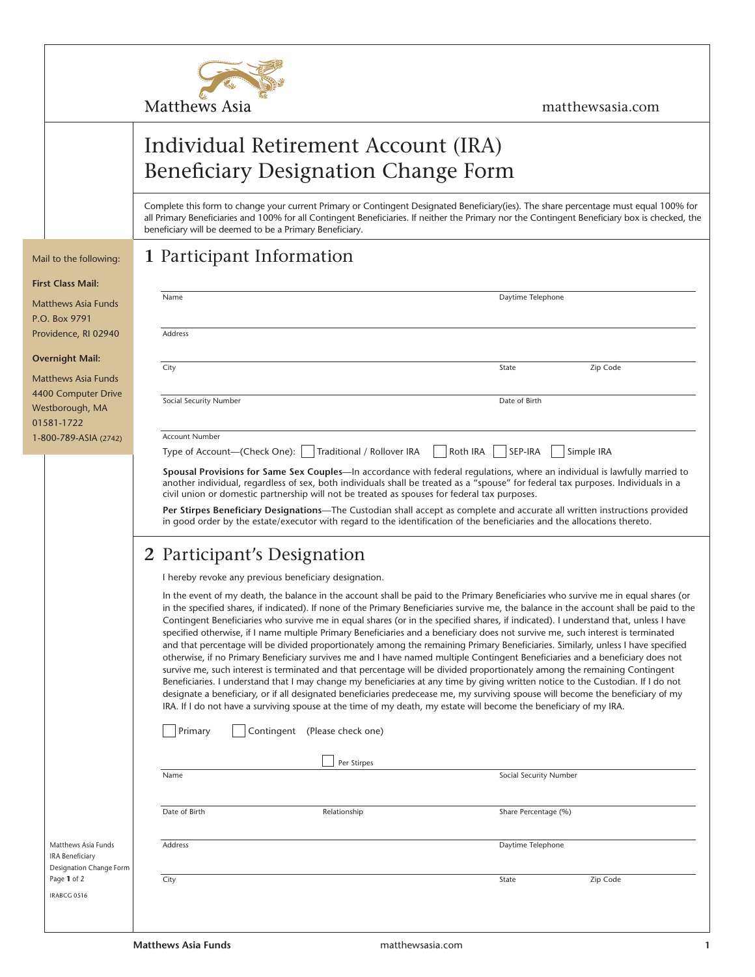

### matthewsasia.com

# Individual Retirement Account (IRA) Beneficiary Designation Change Form

Complete this form to change your current Primary or Contingent Designated Beneficiary(ies). The share percentage must equal 100% for all Primary Beneficiaries and 100% for all Contingent Beneficiaries. If neither the Primary nor the Contingent Beneficiary box is checked, the beneficiary will be deemed to be a Primary Beneficiary.

## Mail to the following: **1** Participant Information

### **First Class Mail:**

| Matthews Asia Funds  |  |  |  |  |
|----------------------|--|--|--|--|
| P.O. Box 9791        |  |  |  |  |
| Providence, RI 02940 |  |  |  |  |

#### **Overnight Mail:**

| <b>Matthews Asia Funds</b> |
|----------------------------|
| 4400 Computer Drive        |
| Westborough, MA            |
| 01581-1722                 |
| 1-800-789-ASIA (2742)      |

| I to the following:                                                      | т вагистрани ппогшанон                                                                                                                                                                                                                                                                                                                                                                                                                                                                                                                                                                                                                                                                                                                                                                                                                                                                                                                                                                                                                                                                                                                                                                                                                                                                                                                                                                                     |  |  |  |  |
|--------------------------------------------------------------------------|------------------------------------------------------------------------------------------------------------------------------------------------------------------------------------------------------------------------------------------------------------------------------------------------------------------------------------------------------------------------------------------------------------------------------------------------------------------------------------------------------------------------------------------------------------------------------------------------------------------------------------------------------------------------------------------------------------------------------------------------------------------------------------------------------------------------------------------------------------------------------------------------------------------------------------------------------------------------------------------------------------------------------------------------------------------------------------------------------------------------------------------------------------------------------------------------------------------------------------------------------------------------------------------------------------------------------------------------------------------------------------------------------------|--|--|--|--|
| t Class Mail:                                                            |                                                                                                                                                                                                                                                                                                                                                                                                                                                                                                                                                                                                                                                                                                                                                                                                                                                                                                                                                                                                                                                                                                                                                                                                                                                                                                                                                                                                            |  |  |  |  |
| thews Asia Funds:<br>Box 9791                                            | Daytime Telephone<br>Name                                                                                                                                                                                                                                                                                                                                                                                                                                                                                                                                                                                                                                                                                                                                                                                                                                                                                                                                                                                                                                                                                                                                                                                                                                                                                                                                                                                  |  |  |  |  |
| <i>ridence, RI 02940</i>                                                 | Address                                                                                                                                                                                                                                                                                                                                                                                                                                                                                                                                                                                                                                                                                                                                                                                                                                                                                                                                                                                                                                                                                                                                                                                                                                                                                                                                                                                                    |  |  |  |  |
| rnight Mail:                                                             | Zip Code<br>City<br>State                                                                                                                                                                                                                                                                                                                                                                                                                                                                                                                                                                                                                                                                                                                                                                                                                                                                                                                                                                                                                                                                                                                                                                                                                                                                                                                                                                                  |  |  |  |  |
| thews Asia Funds:                                                        |                                                                                                                                                                                                                                                                                                                                                                                                                                                                                                                                                                                                                                                                                                                                                                                                                                                                                                                                                                                                                                                                                                                                                                                                                                                                                                                                                                                                            |  |  |  |  |
| 0 Computer Drive<br>tborough, MA<br>81-1722                              | Social Security Number<br>Date of Birth                                                                                                                                                                                                                                                                                                                                                                                                                                                                                                                                                                                                                                                                                                                                                                                                                                                                                                                                                                                                                                                                                                                                                                                                                                                                                                                                                                    |  |  |  |  |
| 00-789-ASIA (2742)                                                       | <b>Account Number</b>                                                                                                                                                                                                                                                                                                                                                                                                                                                                                                                                                                                                                                                                                                                                                                                                                                                                                                                                                                                                                                                                                                                                                                                                                                                                                                                                                                                      |  |  |  |  |
|                                                                          | Roth IRA<br>SEP-IRA<br>Traditional / Rollover IRA<br>Simple IRA<br>Type of Account-(Check One):                                                                                                                                                                                                                                                                                                                                                                                                                                                                                                                                                                                                                                                                                                                                                                                                                                                                                                                                                                                                                                                                                                                                                                                                                                                                                                            |  |  |  |  |
|                                                                          | Spousal Provisions for Same Sex Couples-In accordance with federal regulations, where an individual is lawfully married to<br>another individual, regardless of sex, both individuals shall be treated as a "spouse" for federal tax purposes. Individuals in a<br>civil union or domestic partnership will not be treated as spouses for federal tax purposes.                                                                                                                                                                                                                                                                                                                                                                                                                                                                                                                                                                                                                                                                                                                                                                                                                                                                                                                                                                                                                                            |  |  |  |  |
|                                                                          | Per Stirpes Beneficiary Designations—The Custodian shall accept as complete and accurate all written instructions provided<br>in good order by the estate/executor with regard to the identification of the beneficiaries and the allocations thereto.                                                                                                                                                                                                                                                                                                                                                                                                                                                                                                                                                                                                                                                                                                                                                                                                                                                                                                                                                                                                                                                                                                                                                     |  |  |  |  |
|                                                                          | 2 Participant's Designation                                                                                                                                                                                                                                                                                                                                                                                                                                                                                                                                                                                                                                                                                                                                                                                                                                                                                                                                                                                                                                                                                                                                                                                                                                                                                                                                                                                |  |  |  |  |
|                                                                          | I hereby revoke any previous beneficiary designation.                                                                                                                                                                                                                                                                                                                                                                                                                                                                                                                                                                                                                                                                                                                                                                                                                                                                                                                                                                                                                                                                                                                                                                                                                                                                                                                                                      |  |  |  |  |
|                                                                          | In the event of my death, the balance in the account shall be paid to the Primary Beneficiaries who survive me in equal shares (or<br>in the specified shares, if indicated). If none of the Primary Beneficiaries survive me, the balance in the account shall be paid to the<br>Contingent Beneficiaries who survive me in equal shares (or in the specified shares, if indicated). I understand that, unless I have<br>specified otherwise, if I name multiple Primary Beneficiaries and a beneficiary does not survive me, such interest is terminated<br>and that percentage will be divided proportionately among the remaining Primary Beneficiaries. Similarly, unless I have specified<br>otherwise, if no Primary Beneficiary survives me and I have named multiple Contingent Beneficiaries and a beneficiary does not<br>survive me, such interest is terminated and that percentage will be divided proportionately among the remaining Contingent<br>Beneficiaries. I understand that I may change my beneficiaries at any time by giving written notice to the Custodian. If I do not<br>designate a beneficiary, or if all designated beneficiaries predecease me, my surviving spouse will become the beneficiary of my<br>IRA. If I do not have a surviving spouse at the time of my death, my estate will become the beneficiary of my IRA.<br>Primary<br>Contingent (Please check one) |  |  |  |  |
|                                                                          |                                                                                                                                                                                                                                                                                                                                                                                                                                                                                                                                                                                                                                                                                                                                                                                                                                                                                                                                                                                                                                                                                                                                                                                                                                                                                                                                                                                                            |  |  |  |  |
|                                                                          | Per Stirpes<br>Social Security Number<br>Name                                                                                                                                                                                                                                                                                                                                                                                                                                                                                                                                                                                                                                                                                                                                                                                                                                                                                                                                                                                                                                                                                                                                                                                                                                                                                                                                                              |  |  |  |  |
|                                                                          |                                                                                                                                                                                                                                                                                                                                                                                                                                                                                                                                                                                                                                                                                                                                                                                                                                                                                                                                                                                                                                                                                                                                                                                                                                                                                                                                                                                                            |  |  |  |  |
|                                                                          | Date of Birth<br>Relationship<br>Share Percentage (%)                                                                                                                                                                                                                                                                                                                                                                                                                                                                                                                                                                                                                                                                                                                                                                                                                                                                                                                                                                                                                                                                                                                                                                                                                                                                                                                                                      |  |  |  |  |
| Matthews Asia Funds<br><b>IRA Beneficiary</b><br>Designation Change Form | Address<br>Daytime Telephone                                                                                                                                                                                                                                                                                                                                                                                                                                                                                                                                                                                                                                                                                                                                                                                                                                                                                                                                                                                                                                                                                                                                                                                                                                                                                                                                                                               |  |  |  |  |
| Page 1 of 2<br>IRABCG 0516                                               | City<br>Zip Code<br>State                                                                                                                                                                                                                                                                                                                                                                                                                                                                                                                                                                                                                                                                                                                                                                                                                                                                                                                                                                                                                                                                                                                                                                                                                                                                                                                                                                                  |  |  |  |  |
|                                                                          |                                                                                                                                                                                                                                                                                                                                                                                                                                                                                                                                                                                                                                                                                                                                                                                                                                                                                                                                                                                                                                                                                                                                                                                                                                                                                                                                                                                                            |  |  |  |  |